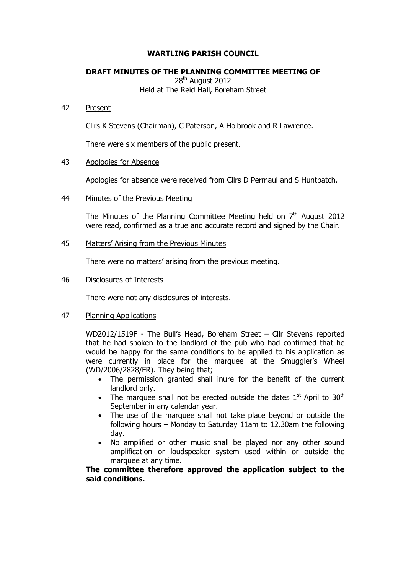# **WARTLING PARISH COUNCIL**

### **DRAFT MINUTES OF THE PLANNING COMMITTEE MEETING OF**

28<sup>th</sup> August 2012 Held at The Reid Hall, Boreham Street

### 42 Present

Cllrs K Stevens (Chairman), C Paterson, A Holbrook and R Lawrence.

There were six members of the public present.

# 43 Apologies for Absence

Apologies for absence were received from Cllrs D Permaul and S Huntbatch.

### 44 Minutes of the Previous Meeting

The Minutes of the Planning Committee Meeting held on  $7<sup>th</sup>$  August 2012 were read, confirmed as a true and accurate record and signed by the Chair.

### 45 Matters' Arising from the Previous Minutes

There were no matters' arising from the previous meeting.

46 Disclosures of Interests

There were not any disclosures of interests.

# 47 Planning Applications

WD2012/1519F - The Bull's Head, Boreham Street – Cllr Stevens reported that he had spoken to the landlord of the pub who had confirmed that he would be happy for the same conditions to be applied to his application as were currently in place for the marquee at the Smuggler's Wheel (WD/2006/2828/FR). They being that;

- The permission granted shall inure for the benefit of the current landlord only.
- The marquee shall not be erected outside the dates  $1<sup>st</sup>$  April to  $30<sup>th</sup>$ September in any calendar year.
- The use of the marquee shall not take place beyond or outside the following hours – Monday to Saturday 11am to 12.30am the following day.
- No amplified or other music shall be played nor any other sound amplification or loudspeaker system used within or outside the marquee at any time.

**The committee therefore approved the application subject to the said conditions.**